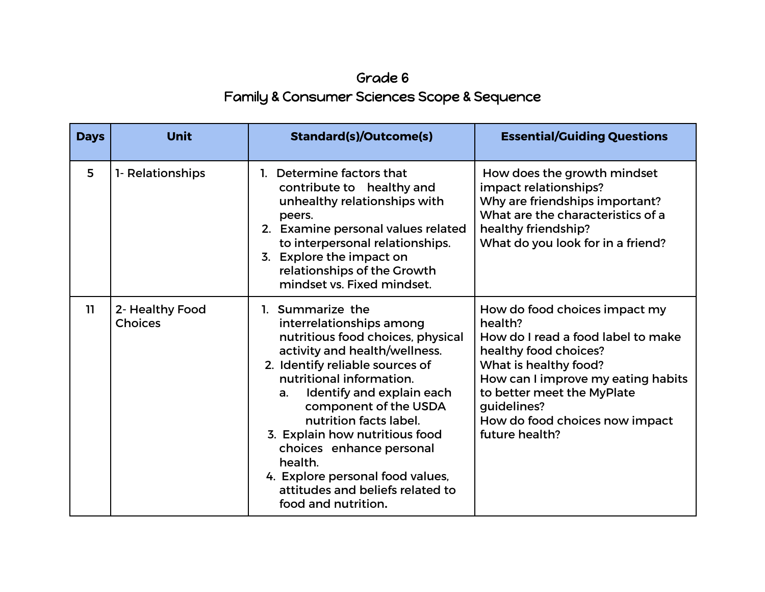## Grade 6 Family & Consumer Sciences Scope & Sequence

| <b>Days</b> | <b>Unit</b>                       | <b>Standard(s)/Outcome(s)</b>                                                                                                                                                                                                                                                                                                                                                                                                                   | <b>Essential/Guiding Questions</b>                                                                                                                                                                                                                                      |
|-------------|-----------------------------------|-------------------------------------------------------------------------------------------------------------------------------------------------------------------------------------------------------------------------------------------------------------------------------------------------------------------------------------------------------------------------------------------------------------------------------------------------|-------------------------------------------------------------------------------------------------------------------------------------------------------------------------------------------------------------------------------------------------------------------------|
| 5           | 1- Relationships                  | 1. Determine factors that<br>contribute to healthy and<br>unhealthy relationships with<br>peers.<br>2. Examine personal values related<br>to interpersonal relationships.<br>3. Explore the impact on<br>relationships of the Growth<br>mindset vs. Fixed mindset.                                                                                                                                                                              | How does the growth mindset<br>impact relationships?<br>Why are friendships important?<br>What are the characteristics of a<br>healthy friendship?<br>What do you look for in a friend?                                                                                 |
| 11.         | 2- Healthy Food<br><b>Choices</b> | 1. Summarize the<br>interrelationships among<br>nutritious food choices, physical<br>activity and health/wellness.<br>2. Identify reliable sources of<br>nutritional information.<br>Identify and explain each<br>a.<br>component of the USDA<br>nutrition facts label.<br>3. Explain how nutritious food<br>choices enhance personal<br>health.<br>4. Explore personal food values,<br>attitudes and beliefs related to<br>food and nutrition. | How do food choices impact my<br>health?<br>How do I read a food label to make<br>healthy food choices?<br>What is healthy food?<br>How can I improve my eating habits<br>to better meet the MyPlate<br>guidelines?<br>How do food choices now impact<br>future health? |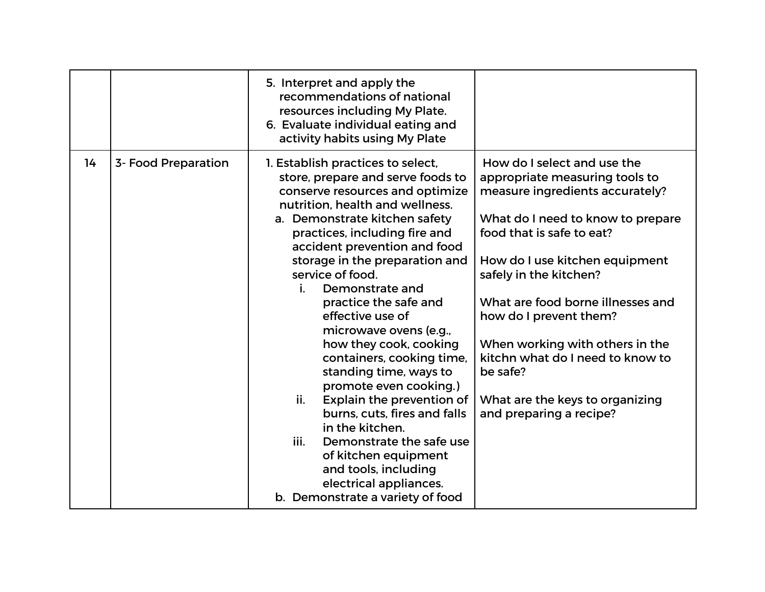|    |                     | 5. Interpret and apply the<br>recommendations of national<br>resources including My Plate.<br>6. Evaluate individual eating and<br>activity habits using My Plate                                                                                                                                                                                                                                                                                                                                                                                                                                                                                                                                                                                        |                                                                                                                                                                                                                                                                                                                                                                                                                                                |
|----|---------------------|----------------------------------------------------------------------------------------------------------------------------------------------------------------------------------------------------------------------------------------------------------------------------------------------------------------------------------------------------------------------------------------------------------------------------------------------------------------------------------------------------------------------------------------------------------------------------------------------------------------------------------------------------------------------------------------------------------------------------------------------------------|------------------------------------------------------------------------------------------------------------------------------------------------------------------------------------------------------------------------------------------------------------------------------------------------------------------------------------------------------------------------------------------------------------------------------------------------|
| 14 | 3- Food Preparation | 1. Establish practices to select,<br>store, prepare and serve foods to<br>conserve resources and optimize<br>nutrition, health and wellness.<br>a. Demonstrate kitchen safety<br>practices, including fire and<br>accident prevention and food<br>storage in the preparation and<br>service of food.<br>i.<br>Demonstrate and<br>practice the safe and<br>effective use of<br>microwave ovens (e.g.,<br>how they cook, cooking<br>containers, cooking time,<br>standing time, ways to<br>promote even cooking.)<br>ii.<br>Explain the prevention of<br>burns, cuts, fires and falls<br>in the kitchen.<br>iii.<br>Demonstrate the safe use<br>of kitchen equipment<br>and tools, including<br>electrical appliances.<br>b. Demonstrate a variety of food | How do I select and use the<br>appropriate measuring tools to<br>measure ingredients accurately?<br>What do I need to know to prepare<br>food that is safe to eat?<br>How do I use kitchen equipment<br>safely in the kitchen?<br>What are food borne illnesses and<br>how do I prevent them?<br>When working with others in the<br>kitchn what do I need to know to<br>be safe?<br>What are the keys to organizing<br>and preparing a recipe? |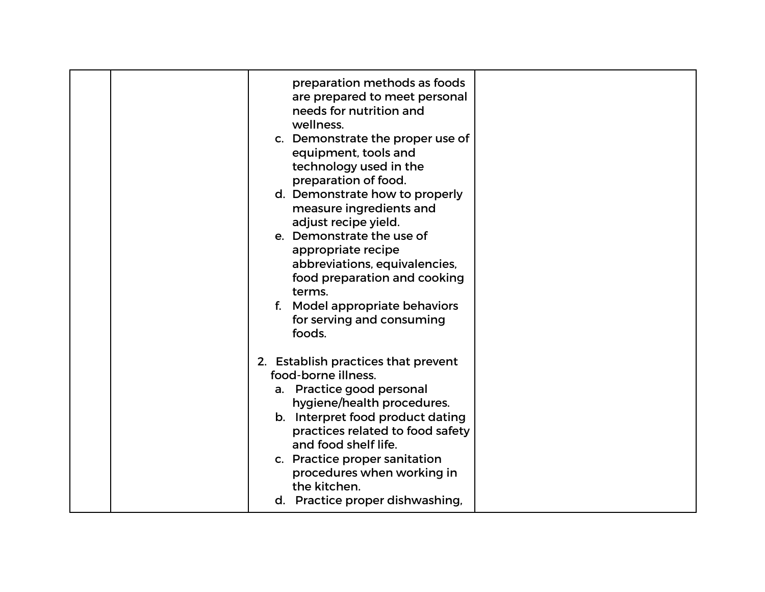|  | preparation methods as foods<br>are prepared to meet personal<br>needs for nutrition and<br>wellness.<br>c. Demonstrate the proper use of<br>equipment, tools and<br>technology used in the<br>preparation of food.<br>d. Demonstrate how to properly<br>measure ingredients and<br>adjust recipe yield.<br>e. Demonstrate the use of<br>appropriate recipe<br>abbreviations, equivalencies,<br>food preparation and cooking<br>terms.<br>f. Model appropriate behaviors<br>for serving and consuming<br>foods. |  |
|--|-----------------------------------------------------------------------------------------------------------------------------------------------------------------------------------------------------------------------------------------------------------------------------------------------------------------------------------------------------------------------------------------------------------------------------------------------------------------------------------------------------------------|--|
|  | 2. Establish practices that prevent<br>food-borne illness.<br>a. Practice good personal<br>hygiene/health procedures.<br>b. Interpret food product dating<br>practices related to food safety<br>and food shelf life.<br>c. Practice proper sanitation<br>procedures when working in<br>the kitchen.<br>d. Practice proper dishwashing,                                                                                                                                                                         |  |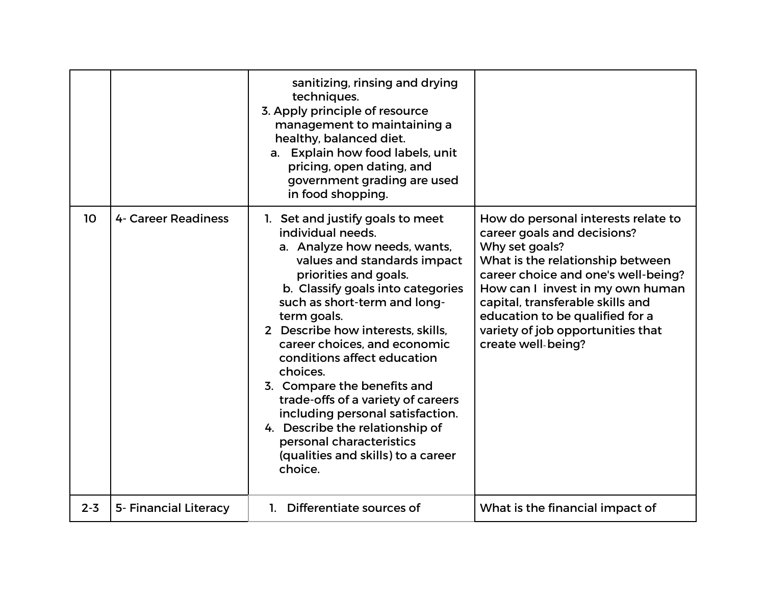|         |                              | sanitizing, rinsing and drying<br>techniques.<br>3. Apply principle of resource<br>management to maintaining a<br>healthy, balanced diet.<br>a. Explain how food labels, unit<br>pricing, open dating, and<br>government grading are used<br>in food shopping.                                                                                                                                                                                                                                                                                                             |                                                                                                                                                                                                                                                                                                                                       |
|---------|------------------------------|----------------------------------------------------------------------------------------------------------------------------------------------------------------------------------------------------------------------------------------------------------------------------------------------------------------------------------------------------------------------------------------------------------------------------------------------------------------------------------------------------------------------------------------------------------------------------|---------------------------------------------------------------------------------------------------------------------------------------------------------------------------------------------------------------------------------------------------------------------------------------------------------------------------------------|
| 10      | 4- Career Readiness          | 1. Set and justify goals to meet<br>individual needs.<br>a. Analyze how needs, wants,<br>values and standards impact<br>priorities and goals.<br>b. Classify goals into categories<br>such as short-term and long-<br>term goals.<br>2 Describe how interests, skills,<br>career choices, and economic<br>conditions affect education<br>choices.<br>3. Compare the benefits and<br>trade-offs of a variety of careers<br>including personal satisfaction.<br>4. Describe the relationship of<br>personal characteristics<br>(qualities and skills) to a career<br>choice. | How do personal interests relate to<br>career goals and decisions?<br>Why set goals?<br>What is the relationship between<br>career choice and one's well-being?<br>How can I invest in my own human<br>capital, transferable skills and<br>education to be qualified for a<br>variety of job opportunities that<br>create well-being? |
| $2 - 3$ | <b>5- Financial Literacy</b> | Differentiate sources of<br>1.                                                                                                                                                                                                                                                                                                                                                                                                                                                                                                                                             | What is the financial impact of                                                                                                                                                                                                                                                                                                       |